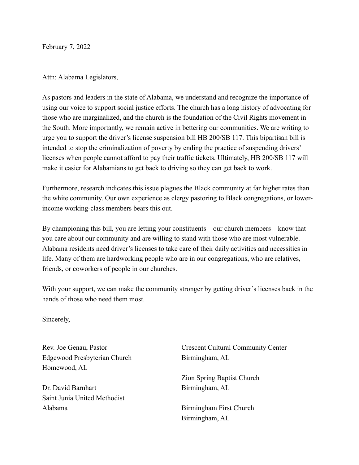February 7, 2022

Attn: Alabama Legislators,

As pastors and leaders in the state of Alabama, we understand and recognize the importance of using our voice to support social justice efforts. The church has a long history of advocating for those who are marginalized, and the church is the foundation of the Civil Rights movement in the South. More importantly, we remain active in bettering our communities. We are writing to urge you to support the driver's license suspension bill HB 200/SB 117. This bipartisan bill is intended to stop the criminalization of poverty by ending the practice of suspending drivers' licenses when people cannot afford to pay their traffic tickets. Ultimately, HB 200/SB 117 will make it easier for Alabamians to get back to driving so they can get back to work.

Furthermore, research indicates this issue plagues the Black community at far higher rates than the white community. Our own experience as clergy pastoring to Black congregations, or lowerincome working-class members bears this out.

By championing this bill, you are letting your constituents – our church members – know that you care about our community and are willing to stand with those who are most vulnerable. Alabama residents need driver's licenses to take care of their daily activities and necessities in life. Many of them are hardworking people who are in our congregations, who are relatives, friends, or coworkers of people in our churches.

With your support, we can make the community stronger by getting driver's licenses back in the hands of those who need them most.

Sincerely,

Rev. Joe Genau, Pastor Edgewood Presbyterian Church Homewood, AL

Dr. David Barnhart Saint Junia United Methodist Alabama

Crescent Cultural Community Center Birmingham, AL

Zion Spring Baptist Church Birmingham, AL

Birmingham First Church Birmingham, AL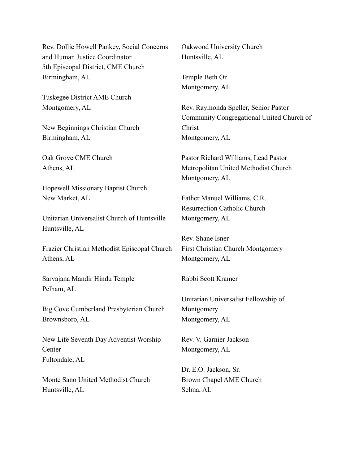Rev. Dollie Howell Pankey, Social Concerns and Human Justice Coordinator 5th Episcopal District, CME Church Birmingham, AL

Tuskegee District AME Church Montgomery, AL

New Beginnings Christian Church Birmingham, AL

Oak Grove CME Church Athens, AL

Hopewell Missionary Baptist Church New Market, AL

Unitarian Universalist Church of Huntsville Huntsville, AL

Frazier Christian Methodist Episcopal Church Athens, AL

Sarvajana Mandir Hindu Temple Pelham, AL

Big Cove Cumberland Presbyterian Church Brownsboro, AL

New Life Seventh Day Adventist Worship **Center** Fultondale, AL

Monte Sano United Methodist Church Huntsville, AL

Oakwood University Church Huntsville, AL

Temple Beth Or Montgomery, AL

Rev. Raymonda Speller, Senior Pastor Community Congregational United Church of Christ Montgomery, AL

Pastor Richard Williams, Lead Pastor Metropolitan United Methodist Church Montgomery, AL

Father Manuel Williams, C.R. Resurrection Catholic Church Montgomery, AL

Rev. Shane Isner First Christian Church Montgomery Montgomery, AL

Rabbi Scott Kramer

Unitarian Universalist Fellowship of Montgomery Montgomery, AL

Rev. V. Garnier Jackson Montgomery, AL

Dr. E.O. Jackson, Sr. Brown Chapel AME Church Selma, AL